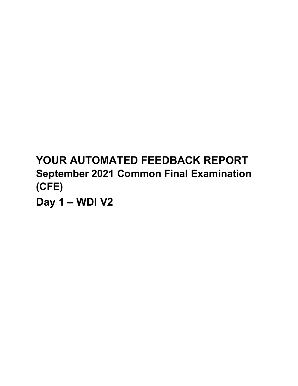# **YOUR AUTOMATED FEEDBACK REPORT September 2021 Common Final Examination (CFE)**

**Day 1 – WDI V2**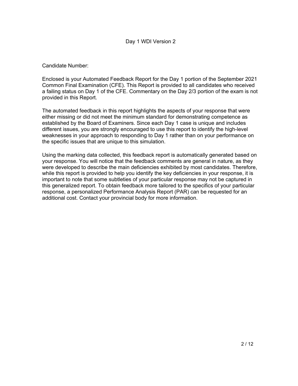Candidate Number:

Enclosed is your Automated Feedback Report for the Day 1 portion of the September 2021 Common Final Examination (CFE). This Report is provided to all candidates who received a failing status on Day 1 of the CFE. Commentary on the Day 2/3 portion of the exam is not provided in this Report.

The automated feedback in this report highlights the aspects of your response that were either missing or did not meet the minimum standard for demonstrating competence as established by the Board of Examiners. Since each Day 1 case is unique and includes different issues, you are strongly encouraged to use this report to identify the high-level weaknesses in your approach to responding to Day 1 rather than on your performance on the specific issues that are unique to this simulation.

Using the marking data collected, this feedback report is automatically generated based on your response. You will notice that the feedback comments are general in nature, as they were developed to describe the main deficiencies exhibited by most candidates. Therefore, while this report is provided to help you identify the key deficiencies in your response, it is important to note that some subtleties of your particular response may not be captured in this generalized report. To obtain feedback more tailored to the specifics of your particular response, a personalized Performance Analysis Report (PAR) can be requested for an additional cost. Contact your provincial body for more information.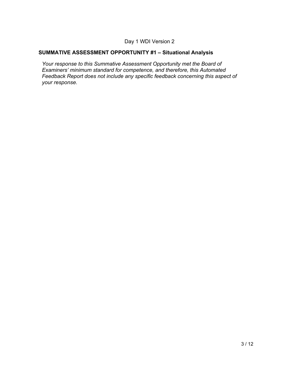# **SUMMATIVE ASSESSMENT OPPORTUNITY #1 – Situational Analysis**

*Your response to this Summative Assessment Opportunity met the Board of Examiners' minimum standard for competence, and therefore, this Automated Feedback Report does not include any specific feedback concerning this aspect of your response.*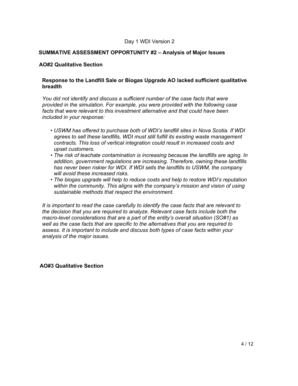#### **SUMMATIVE ASSESSMENT OPPORTUNITY #2 – Analysis of Major Issues**

#### **AO#2 Qualitative Section**

#### **Response to the Landfill Sale or Biogas Upgrade AO lacked sufficient qualitative breadth**

*You did not identify and discuss a sufficient number of the case facts that were provided in the simulation. For example, you were provided with the following case facts that were relevant to this investment alternative and that could have been included in your response:* 

- *USWM has offered to purchase both of WDI's landfill sites in Nova Scotia. If WDI •agrees to sell these landfills, WDI must still fulfill its existing waste management contracts. This loss of vertical integration could result in increased costs and upset customers.*
- *The risk of leachate contamination is increasing because the landfills are aging. In •addition, government regulations are increasing. Therefore, owning these landfills has never been riskier for WDI. If WDI sells the landfills to USWM, the company will avoid these increased risks.*
- *The biogas upgrade will help to reduce costs and help to restore WDI's reputation •within the community. This aligns with the company's mission and vision of using sustainable methods that respect the environment.*

*It is important to read the case carefully to identify the case facts that are relevant to the decision that you are required to analyze. Relevant case facts include both the macro-level considerations that are a part of the entity's overall situation (SO#1) as well as the case facts that are specific to the alternatives that you are required to assess. It is important to include and discuss both types of case facts within your analysis of the major issues.* 

**AO#3 Qualitative Section**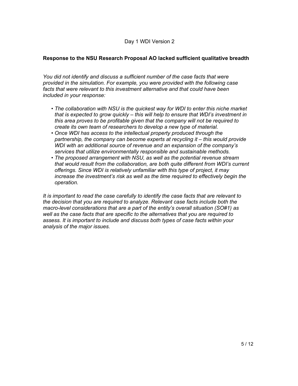# **Response to the NSU Research Proposal AO lacked sufficient qualitative breadth**

*You did not identify and discuss a sufficient number of the case facts that were provided in the simulation. For example, you were provided with the following case facts that were relevant to this investment alternative and that could have been included in your response:* 

- *The collaboration with NSU is the quickest way for WDI to enter this niche market •that is expected to grow quickly – this will help to ensure that WDI's investment in this area proves to be profitable given that the company will not be required to create its own team of researchers to develop a new type of material.*
- *Once WDI has access to the intellectual property produced through the •partnership, the company can become experts at recycling it – this would provide WDI with an additional source of revenue and an expansion of the company's services that utilize environmentally responsible and sustainable methods.*
- *The proposed arrangement with NSU, as well as the potential revenue stream •that would result from the collaboration, are both quite different from WDI's current offerings. Since WDI is relatively unfamiliar with this type of project, it may increase the investment's risk as well as the time required to effectively begin the operation.*

*It is important to read the case carefully to identify the case facts that are relevant to the decision that you are required to analyze. Relevant case facts include both the macro-level considerations that are a part of the entity's overall situation (SO#1) as well as the case facts that are specific to the alternatives that you are required to assess. It is important to include and discuss both types of case facts within your analysis of the major issues.*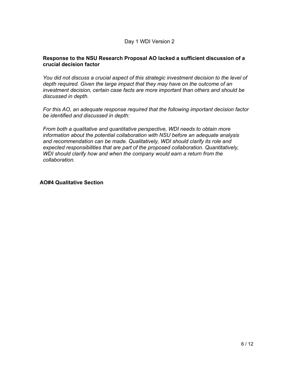#### **Response to the NSU Research Proposal AO lacked a sufficient discussion of a crucial decision factor**

*You did not discuss a crucial aspect of this strategic investment decision to the level of depth required. Given the large impact that they may have on the outcome of an investment decision, certain case facts are more important than others and should be discussed in depth.* 

*For this AO, an adequate response required that the following important decision factor be identified and discussed in depth:*

*From both a qualitative and quantitative perspective, WDI needs to obtain more information about the potential collaboration with NSU before an adequate analysis and recommendation can be made. Qualitatively, WDI should clarify its role and expected responsibilities that are part of the proposed collaboration. Quantitatively, WDI should clarify how and when the company would earn a return from the collaboration.*

**AO#4 Qualitative Section**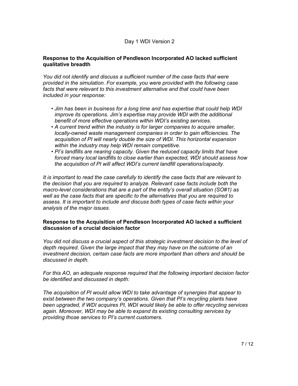#### **Response to the Acquisition of Pendleson Incorporated AO lacked sufficient qualitative breadth**

*You did not identify and discuss a sufficient number of the case facts that were provided in the simulation. For example, you were provided with the following case facts that were relevant to this investment alternative and that could have been included in your response:* 

- *Jim has been in business for a long time and has expertise that could help WDI •improve its operations. Jim's expertise may provide WDI with the additional benefit of more effective operations within WDI's existing services.*
- *A current trend within the industry is for larger companies to acquire smaller, •locally-owned waste management companies in order to gain efficiencies. The acquisition of PI will nearly double the size of WDI. This horizontal expansion within the industry may help WDI remain competitive.*
- *PI's landfills are nearing capacity. Given the reduced capacity limits that have •forced many local landfills to close earlier than expected, WDI should assess how the acquisition of PI will affect WDI's current landfill operations/capacity.*

*It is important to read the case carefully to identify the case facts that are relevant to the decision that you are required to analyze. Relevant case facts include both the macro-level considerations that are a part of the entity's overall situation (SO#1) as well as the case facts that are specific to the alternatives that you are required to assess. It is important to include and discuss both types of case facts within your analysis of the major issues.* 

#### **Response to the Acquisition of Pendleson Incorporated AO lacked a sufficient discussion of a crucial decision factor**

*You did not discuss a crucial aspect of this strategic investment decision to the level of depth required. Given the large impact that they may have on the outcome of an investment decision, certain case facts are more important than others and should be discussed in depth.* 

*For this AO, an adequate response required that the following important decision factor be identified and discussed in depth:*

*The acquisition of PI would allow WDI to take advantage of synergies that appear to exist between the two company's operations. Given that PI's recycling plants have been upgraded, if WDI acquires PI, WDI would likely be able to offer recycling services again. Moreover, WDI may be able to expand its existing consulting services by providing those services to PI's current customers.*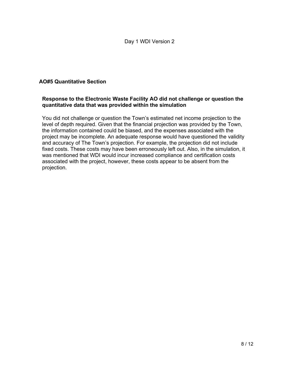# **AO#5 Quantitative Section**

#### **Response to the Electronic Waste Facility AO did not challenge or question the quantitative data that was provided within the simulation**

You did not challenge or question the Town's estimated net income projection to the level of depth required. Given that the financial projection was provided by the Town, the information contained could be biased, and the expenses associated with the project may be incomplete. An adequate response would have questioned the validity and accuracy of The Town's projection. For example, the projection did not include fixed costs. These costs may have been erroneously left out. Also, in the simulation, it was mentioned that WDI would incur increased compliance and certification costs associated with the project, however, these costs appear to be absent from the projection.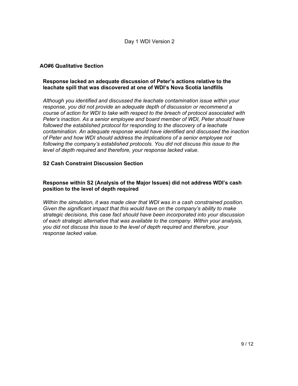# **AO#6 Qualitative Section**

#### **Response lacked an adequate discussion of Peter's actions relative to the leachate spill that was discovered at one of WDI's Nova Scotia landfills**

*Although you identified and discussed the leachate contamination issue within your response, you did not provide an adequate depth of discussion or recommend a course of action for WDI to take with respect to the breach of protocol associated with Peter's inaction. As a senior employee and board member of WDI, Peter should have followed the established protocol for responding to the discovery of a leachate contamination. An adequate response would have identified and discussed the inaction of Peter and how WDI should address the implications of a senior employee not following the company's established protocols. You did not discuss this issue to the level of depth required and therefore, your response lacked value.*

#### **S2 Cash Constraint Discussion Section**

# **Response within S2 (Analysis of the Major Issues) did not address WDI's cash position to the level of depth required**

*Within the simulation, it was made clear that WDI was in a cash constrained position. Given the significant impact that this would have on the company's ability to make strategic decisions, this case fact should have been incorporated into your discussion of each strategic alternative that was available to the company. Within your analysis, you did not discuss this issue to the level of depth required and therefore, your response lacked value.*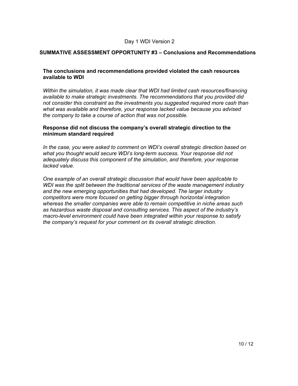#### **SUMMATIVE ASSESSMENT OPPORTUNITY #3 – Conclusions and Recommendations**

#### **The conclusions and recommendations provided violated the cash resources available to WDI**

*Within the simulation, it was made clear that WDI had limited cash resources/financing available to make strategic investments. The recommendations that you provided did not consider this constraint as the investments you suggested required more cash than what was available and therefore, your response lacked value because you advised the company to take a course of action that was not possible.*

#### **Response did not discuss the company's overall strategic direction to the minimum standard required**

*In the case, you were asked to comment on WDI's overall strategic direction based on what you thought would secure WDI's long-term success. Your response did not adequately discuss this component of the simulation, and therefore, your response lacked value.* 

*One example of an overall strategic discussion that would have been applicable to WDI was the split between the traditional services of the waste management industry and the new emerging opportunities that had developed. The larger industry competitors were more focused on getting bigger through horizontal integration whereas the smaller companies were able to remain competitive in niche areas such as hazardous waste disposal and consulting services. This aspect of the industry's macro-level environment could have been integrated within your response to satisfy the company's request for your comment on its overall strategic direction.*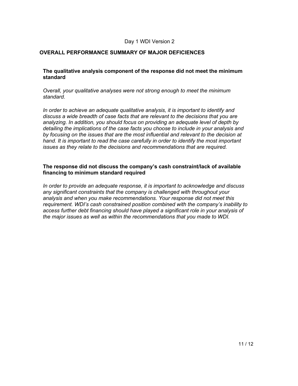#### **OVERALL PERFORMANCE SUMMARY OF MAJOR DEFICIENCES**

#### **The qualitative analysis component of the response did not meet the minimum standard**

*Overall, your qualitative analyses were not strong enough to meet the minimum standard.*

*In order to achieve an adequate qualitative analysis, it is important to identify and discuss a wide breadth of case facts that are relevant to the decisions that you are analyzing. In addition, you should focus on providing an adequate level of depth by detailing the implications of the case facts you choose to include in your analysis and by focusing on the issues that are the most influential and relevant to the decision at hand. It is important to read the case carefully in order to identify the most important issues as they relate to the decisions and recommendations that are required.*

#### **The response did not discuss the company's cash constraint/lack of available financing to minimum standard required**

*In order to provide an adequate response, it is important to acknowledge and discuss any significant constraints that the company is challenged with throughout your analysis and when you make recommendations. Your response did not meet this requirement. WDI's cash constrained position combined with the company's inability to access further debt financing should have played a significant role in your analysis of the major issues as well as within the recommendations that you made to WDI.*